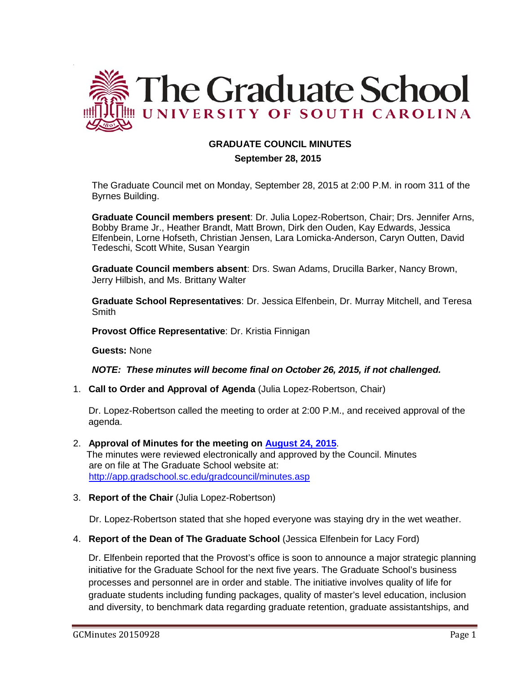

# **GRADUATE COUNCIL MINUTES**

## **September 28, 2015**

The Graduate Council met on Monday, September 28, 2015 at 2:00 P.M. in room 311 of the Byrnes Building.

**Graduate Council members present**: Dr. Julia Lopez-Robertson, Chair; Drs. Jennifer Arns, Bobby Brame Jr., Heather Brandt, Matt Brown, Dirk den Ouden, Kay Edwards, Jessica Elfenbein, Lorne Hofseth, Christian Jensen, Lara Lomicka-Anderson, Caryn Outten, David Tedeschi, Scott White, Susan Yeargin

**Graduate Council members absent**: Drs. Swan Adams, Drucilla Barker, Nancy Brown, Jerry Hilbish, and Ms. Brittany Walter

**Graduate School Representatives**: Dr. Jessica Elfenbein, Dr. Murray Mitchell, and Teresa **Smith** 

**Provost Office Representative**: Dr. Kristia Finnigan

**Guests:** None

.

*NOTE: These minutes will become final on October 26, 2015, if not challenged.*

1. **Call to Order and Approval of Agenda** (Julia Lopez-Robertson, Chair)

Dr. Lopez-Robertson called the meeting to order at 2:00 P.M., and received approval of the agenda.

- 2. **Approval of Minutes for the meeting on [August 24, 2015](http://gradschool.sc.edu/facstaff/gradcouncil/2015/GC%20Minutes%20August%2024%202015.pdf)**. The minutes were reviewed electronically and approved by the Council. Minutes are on file at The Graduate School website at: <http://app.gradschool.sc.edu/gradcouncil/minutes.asp>
- 3. **Report of the Chair** (Julia Lopez-Robertson)

Dr. Lopez-Robertson stated that she hoped everyone was staying dry in the wet weather.

4. **Report of the Dean of The Graduate School** (Jessica Elfenbein for Lacy Ford)

Dr. Elfenbein reported that the Provost's office is soon to announce a major strategic planning initiative for the Graduate School for the next five years. The Graduate School's business processes and personnel are in order and stable. The initiative involves quality of life for graduate students including funding packages, quality of master's level education, inclusion and diversity, to benchmark data regarding graduate retention, graduate assistantships, and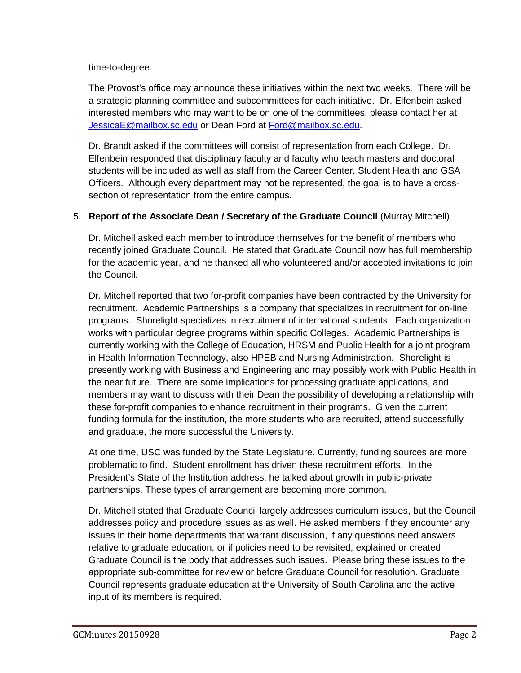time-to-degree.

The Provost's office may announce these initiatives within the next two weeks. There will be a strategic planning committee and subcommittees for each initiative. Dr. Elfenbein asked interested members who may want to be on one of the committees, please contact her at [JessicaE@mailbox.sc.edu](mailto:JessicaE@mailbox.sc.edu) or Dean Ford at [Ford@mailbox.sc.edu.](mailto:Ford@mailbox.sc.edu)

Dr. Brandt asked if the committees will consist of representation from each College. Dr. Elfenbein responded that disciplinary faculty and faculty who teach masters and doctoral students will be included as well as staff from the Career Center, Student Health and GSA Officers. Although every department may not be represented, the goal is to have a crosssection of representation from the entire campus.

# 5. **Report of the Associate Dean / Secretary of the Graduate Council** (Murray Mitchell)

Dr. Mitchell asked each member to introduce themselves for the benefit of members who recently joined Graduate Council. He stated that Graduate Council now has full membership for the academic year, and he thanked all who volunteered and/or accepted invitations to join the Council.

Dr. Mitchell reported that two for-profit companies have been contracted by the University for recruitment. Academic Partnerships is a company that specializes in recruitment for on-line programs. Shorelight specializes in recruitment of international students. Each organization works with particular degree programs within specific Colleges. Academic Partnerships is currently working with the College of Education, HRSM and Public Health for a joint program in Health Information Technology, also HPEB and Nursing Administration. Shorelight is presently working with Business and Engineering and may possibly work with Public Health in the near future. There are some implications for processing graduate applications, and members may want to discuss with their Dean the possibility of developing a relationship with these for-profit companies to enhance recruitment in their programs. Given the current funding formula for the institution, the more students who are recruited, attend successfully and graduate, the more successful the University.

At one time, USC was funded by the State Legislature. Currently, funding sources are more problematic to find. Student enrollment has driven these recruitment efforts. In the President's State of the Institution address, he talked about growth in public-private partnerships. These types of arrangement are becoming more common.

Dr. Mitchell stated that Graduate Council largely addresses curriculum issues, but the Council addresses policy and procedure issues as as well. He asked members if they encounter any issues in their home departments that warrant discussion, if any questions need answers relative to graduate education, or if policies need to be revisited, explained or created, Graduate Council is the body that addresses such issues. Please bring these issues to the appropriate sub-committee for review or before Graduate Council for resolution. Graduate Council represents graduate education at the University of South Carolina and the active input of its members is required.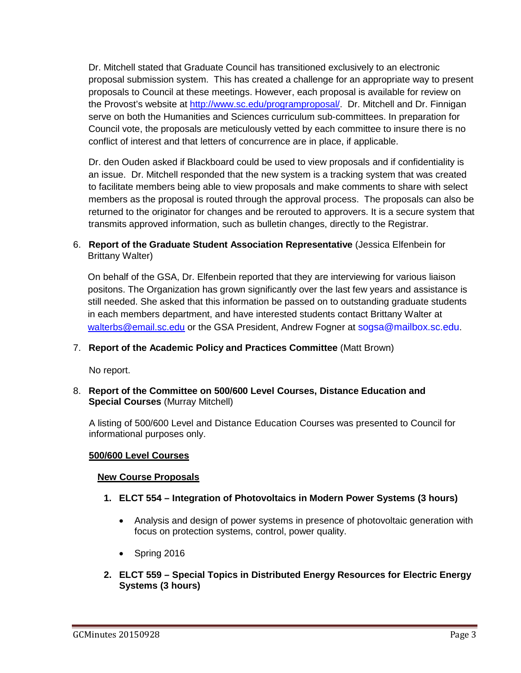Dr. Mitchell stated that Graduate Council has transitioned exclusively to an electronic proposal submission system. This has created a challenge for an appropriate way to present proposals to Council at these meetings. However, each proposal is available for review on the Provost's website at [http://www.sc.edu/programproposal/.](http://www.sc.edu/programproposal/) Dr. Mitchell and Dr. Finnigan serve on both the Humanities and Sciences curriculum sub-committees. In preparation for Council vote, the proposals are meticulously vetted by each committee to insure there is no conflict of interest and that letters of concurrence are in place, if applicable.

Dr. den Ouden asked if Blackboard could be used to view proposals and if confidentiality is an issue. Dr. Mitchell responded that the new system is a tracking system that was created to facilitate members being able to view proposals and make comments to share with select members as the proposal is routed through the approval process. The proposals can also be returned to the originator for changes and be rerouted to approvers. It is a secure system that transmits approved information, such as bulletin changes, directly to the Registrar.

6. **Report of the Graduate Student Association Representative** (Jessica Elfenbein for Brittany Walter)

On behalf of the GSA, Dr. Elfenbein reported that they are interviewing for various liaison positons. The Organization has grown significantly over the last few years and assistance is still needed. She asked that this information be passed on to outstanding graduate students in each members department, and have interested students contact Brittany Walter at [walterbs@email.sc.edu](mailto:walterbs@email.sc.edu) or the GSA President, Andrew Fogner at sogsa@mailbox.sc.edu.

# 7. **Report of the Academic Policy and Practices Committee** (Matt Brown)

No report.

8. **Report of the Committee on 500/600 Level Courses, Distance Education and Special Courses** (Murray Mitchell)

A listing of 500/600 Level and Distance Education Courses was presented to Council for informational purposes only.

# **500/600 Level Courses**

# **New Course Proposals**

- **1. ELCT 554 – Integration of Photovoltaics in Modern Power Systems (3 hours)**
	- Analysis and design of power systems in presence of photovoltaic generation with focus on protection systems, control, power quality.
	- Spring 2016
- **2. ELCT 559 – Special Topics in Distributed Energy Resources for Electric Energy Systems (3 hours)**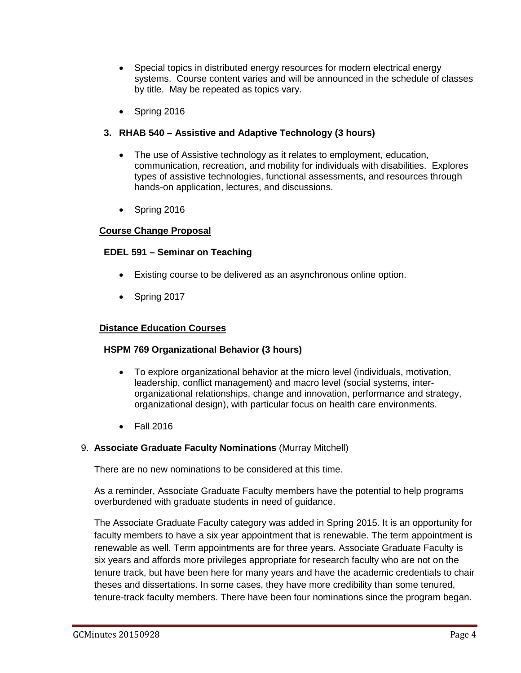- Special topics in distributed energy resources for modern electrical energy systems. Course content varies and will be announced in the schedule of classes by title. May be repeated as topics vary.
- Spring 2016

# **3. RHAB 540 – Assistive and Adaptive Technology (3 hours)**

- The use of Assistive technology as it relates to employment, education, communication, recreation, and mobility for individuals with disabilities. Explores types of assistive technologies, functional assessments, and resources through hands-on application, lectures, and discussions.
- Spring 2016

# **Course Change Proposal**

## **EDEL 591 – Seminar on Teaching**

- Existing course to be delivered as an asynchronous online option.
- Spring 2017

### **Distance Education Courses**

### **HSPM 769 Organizational Behavior (3 hours)**

- To explore organizational behavior at the micro level (individuals, motivation, leadership, conflict management) and macro level (social systems, interorganizational relationships, change and innovation, performance and strategy, organizational design), with particular focus on health care environments.
- Fall 2016

### 9. **Associate Graduate Faculty Nominations** (Murray Mitchell)

There are no new nominations to be considered at this time.

As a reminder, Associate Graduate Faculty members have the potential to help programs overburdened with graduate students in need of guidance.

The Associate Graduate Faculty category was added in Spring 2015. It is an opportunity for faculty members to have a six year appointment that is renewable. The term appointment is renewable as well. Term appointments are for three years. Associate Graduate Faculty is six years and affords more privileges appropriate for research faculty who are not on the tenure track, but have been here for many years and have the academic credentials to chair theses and dissertations. In some cases, they have more credibility than some tenured, tenure-track faculty members. There have been four nominations since the program began.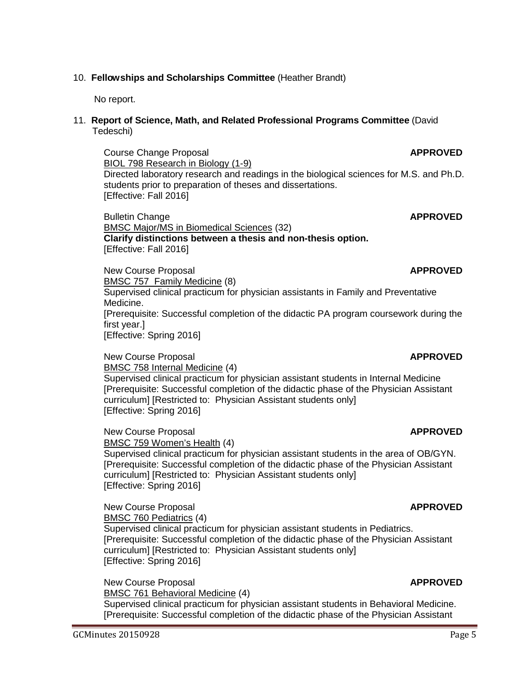## 10. **Fellowships and Scholarships Committee** (Heather Brandt)

No report.

## 11. **Report of Science, Math, and Related Professional Programs Committee** (David Tedeschi)

**Course Change Proposal APPROVED APPROVED** BIOL 798 Research in Biology (1-9)

Directed laboratory research and readings in the biological sciences for M.S. and Ph.D. students prior to preparation of theses and dissertations. [Effective: Fall 2016]

**Bulletin Change APPROVED** BMSC Major/MS in Biomedical Sciences (32) **Clarify distinctions between a thesis and non-thesis option.** [Effective: Fall 2016]

New Course Proposal **APPROVED** BMSC 757 Family Medicine (8) Supervised clinical practicum for physician assistants in Family and Preventative Medicine. [Prerequisite: Successful completion of the didactic PA program coursework during the first year.] [Effective: Spring 2016]

New Course Proposal **APPROVED** BMSC 758 Internal Medicine (4)

Supervised clinical practicum for physician assistant students in Internal Medicine [Prerequisite: Successful completion of the didactic phase of the Physician Assistant curriculum] [Restricted to: Physician Assistant students only] [Effective: Spring 2016]

New Course Proposal **APPROVED** 

BMSC 759 Women's Health (4) Supervised clinical practicum for physician assistant students in the area of OB/GYN. [Prerequisite: Successful completion of the didactic phase of the Physician Assistant curriculum] [Restricted to: Physician Assistant students only] [Effective: Spring 2016]

New Course Proposal **APPROVED** BMSC 760 Pediatrics (4)

Supervised clinical practicum for physician assistant students in Pediatrics. [Prerequisite: Successful completion of the didactic phase of the Physician Assistant curriculum] [Restricted to: Physician Assistant students only] [Effective: Spring 2016]

New Course Proposal **APPROVED** BMSC 761 Behavioral Medicine (4)

Supervised clinical practicum for physician assistant students in Behavioral Medicine. [Prerequisite: Successful completion of the didactic phase of the Physician Assistant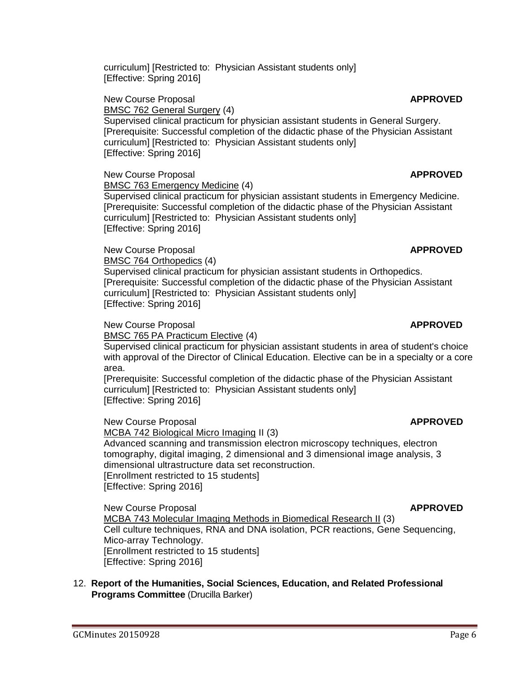curriculum] [Restricted to: Physician Assistant students only] [Effective: Spring 2016]

## New Course Proposal **APPROVED**

BMSC 762 General Surgery (4)

Supervised clinical practicum for physician assistant students in General Surgery. [Prerequisite: Successful completion of the didactic phase of the Physician Assistant curriculum] [Restricted to: Physician Assistant students only] [Effective: Spring 2016]

New Course Proposal **APPROVED**

BMSC 763 Emergency Medicine (4)

Supervised clinical practicum for physician assistant students in Emergency Medicine. [Prerequisite: Successful completion of the didactic phase of the Physician Assistant curriculum] [Restricted to: Physician Assistant students only] [Effective: Spring 2016]

# New Course Proposal **APPROVED**

BMSC 764 Orthopedics (4)

Supervised clinical practicum for physician assistant students in Orthopedics. [Prerequisite: Successful completion of the didactic phase of the Physician Assistant curriculum] [Restricted to: Physician Assistant students only] [Effective: Spring 2016]

## New Course Proposal **APPROVED**

BMSC 765 PA Practicum Elective (4)

Supervised clinical practicum for physician assistant students in area of student's choice with approval of the Director of Clinical Education. Elective can be in a specialty or a core area.

[Prerequisite: Successful completion of the didactic phase of the Physician Assistant curriculum] [Restricted to: Physician Assistant students only] [Effective: Spring 2016]

# New Course Proposal **APPROVED**

MCBA 742 Biological Micro Imaging II (3)

Advanced scanning and transmission electron microscopy techniques, electron tomography, digital imaging, 2 dimensional and 3 dimensional image analysis, 3 dimensional ultrastructure data set reconstruction. [Enrollment restricted to 15 students] [Effective: Spring 2016]

New Course Proposal **APPROVED** MCBA 743 Molecular Imaging Methods in Biomedical Research II (3) Cell culture techniques, RNA and DNA isolation, PCR reactions, Gene Sequencing, Mico-array Technology. [Enrollment restricted to 15 students] [Effective: Spring 2016]

12. **Report of the Humanities, Social Sciences, Education, and Related Professional Programs Committee** (Drucilla Barker)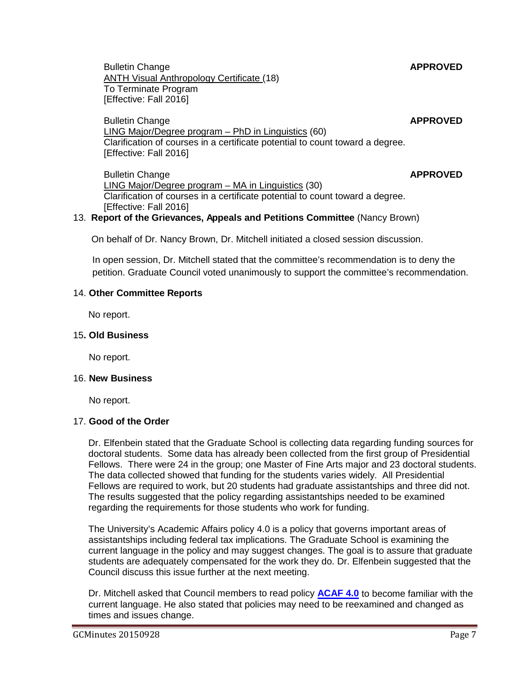Bulletin Change **APPROVED** ANTH Visual Anthropology Certificate (18) To Terminate Program [Effective: Fall 2016]

Bulletin Change **APPROVED** LING Major/Degree program – PhD in Linguistics (60) Clarification of courses in a certificate potential to count toward a degree. [Effective: Fall 2016]

Bulletin Change **APPROVED** LING Major/Degree program – MA in Linguistics (30) Clarification of courses in a certificate potential to count toward a degree. [Effective: Fall 2016]

# 13. **Report of the Grievances, Appeals and Petitions Committee** (Nancy Brown)

On behalf of Dr. Nancy Brown, Dr. Mitchell initiated a closed session discussion.

In open session, Dr. Mitchell stated that the committee's recommendation is to deny the petition. Graduate Council voted unanimously to support the committee's recommendation.

## 14. **Other Committee Reports**

No report.

### 15**. Old Business**

No report.

### 16. **New Business**

No report.

### 17. **Good of the Order**

Dr. Elfenbein stated that the Graduate School is collecting data regarding funding sources for doctoral students. Some data has already been collected from the first group of Presidential Fellows. There were 24 in the group; one Master of Fine Arts major and 23 doctoral students. The data collected showed that funding for the students varies widely. All Presidential Fellows are required to work, but 20 students had graduate assistantships and three did not. The results suggested that the policy regarding assistantships needed to be examined regarding the requirements for those students who work for funding.

The University's Academic Affairs policy 4.0 is a policy that governs important areas of assistantships including federal tax implications. The Graduate School is examining the current language in the policy and may suggest changes. The goal is to assure that graduate students are adequately compensated for the work they do. Dr. Elfenbein suggested that the Council discuss this issue further at the next meeting.

Dr. Mitchell asked that Council members to read policy **[ACAF 4.0](http://gradschool.sc.edu/facstaff/gradcouncil/2015/ACAF%204.0%20Policy.pdf)** to become familiar with the current language. He also stated that policies may need to be reexamined and changed as times and issues change.